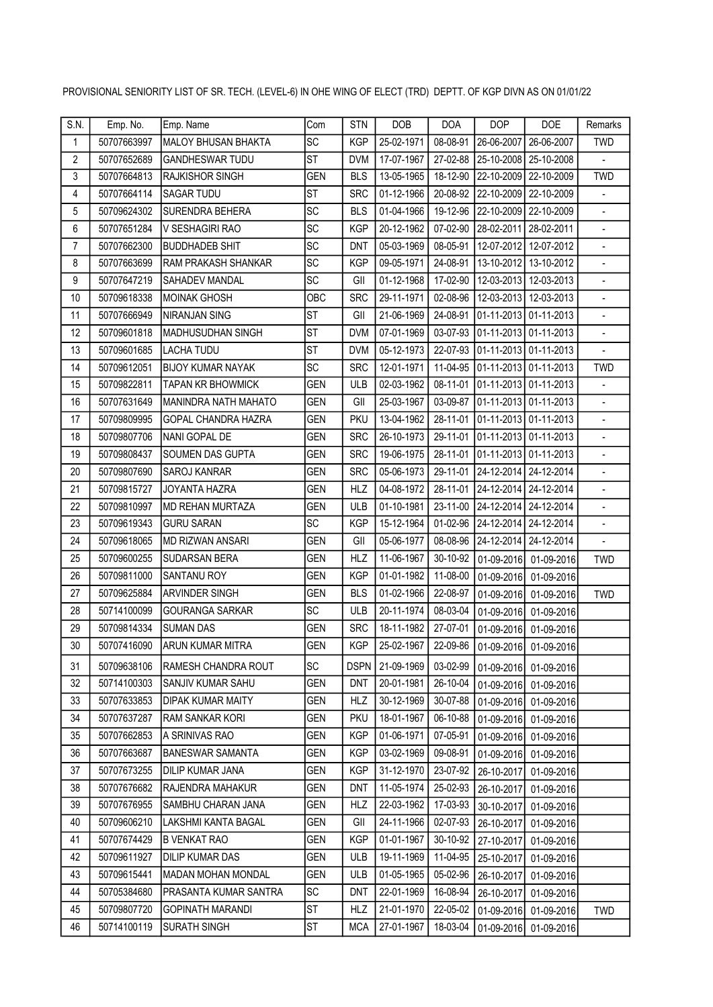| S.N.           | Emp. No.    | Emp. Name                    | Com        | <b>STN</b>  | <b>DOB</b> | <b>DOA</b> | <b>DOP</b>         | <b>DOE</b>                     | <b>Remarks</b>           |
|----------------|-------------|------------------------------|------------|-------------|------------|------------|--------------------|--------------------------------|--------------------------|
| $\mathbf{1}$   | 50707663997 | MALOY BHUSAN BHAKTA          | SC         | <b>KGP</b>  | 25-02-1971 | 08-08-91   | 26-06-2007         | 26-06-2007                     | <b>TWD</b>               |
| $\overline{2}$ | 50707652689 | <b>GANDHESWAR TUDU</b>       | <b>ST</b>  | <b>DVM</b>  | 17-07-1967 | 27-02-88   | 25-10-2008         | 25-10-2008                     | $\overline{a}$           |
| 3              | 50707664813 | <b>RAJKISHOR SINGH</b>       | <b>GEN</b> | <b>BLS</b>  | 13-05-1965 | 18-12-90   | 22-10-2009         | 22-10-2009                     | <b>TWD</b>               |
| 4              | 50707664114 | <b>SAGAR TUDU</b>            | <b>ST</b>  | <b>SRC</b>  | 01-12-1966 | 20-08-92   | 22-10-2009         | 22-10-2009                     | $\blacksquare$           |
| 5              | 50709624302 | <b>SURENDRA BEHERA</b>       | SC         | <b>BLS</b>  | 01-04-1966 | 19-12-96   | 22-10-2009         | 22-10-2009                     | $\overline{a}$           |
| 6              | 50707651284 | V SESHAGIRI RAO              | SC         | <b>KGP</b>  | 20-12-1962 | 07-02-90   | 28-02-2011         | 28-02-2011                     | $\overline{\phantom{a}}$ |
| $\overline{7}$ | 50707662300 | <b>BUDDHADEB SHIT</b>        | <b>SC</b>  | <b>DNT</b>  | 05-03-1969 | 08-05-91   | 12-07-2012         | 12-07-2012                     | $\overline{a}$           |
| 8              | 50707663699 | RAM PRAKASH SHANKAR          | SC         | <b>KGP</b>  | 09-05-1971 | 24-08-91   | 13-10-2012         | 13-10-2012                     | $\blacksquare$           |
| 9              | 50707647219 | SAHADEV MANDAL               | <b>SC</b>  | GII         | 01-12-1968 | 17-02-90   | 12-03-2013         | 12-03-2013                     | $\blacksquare$           |
| 10             | 50709618338 | <b>MOINAK GHOSH</b>          | OBC        | <b>SRC</b>  | 29-11-1971 | 02-08-96   | 12-03-2013         | 12-03-2013                     | $\blacksquare$           |
| 11             | 50707666949 | <b>NIRANJAN SING</b>         | <b>ST</b>  | GII         | 21-06-1969 | 24-08-91   | $ 01 - 11 - 2013 $ | 01-11-2013                     | $\overline{\phantom{a}}$ |
| 12             | 50709601818 | IMADHUSUDHAN SINGH           | <b>ST</b>  | <b>DVM</b>  | 07-01-1969 | 03-07-93   |                    | $ 01-11-2013 01-11-2013$       |                          |
| 13             | 50709601685 | LACHA TUDU                   | <b>ST</b>  | <b>DVM</b>  | 05-12-1973 | 22-07-93   | 01-11-2013         | 01-11-2013                     | $\frac{1}{2}$            |
| 14             | 50709612051 | <b>BIJOY KUMAR NAYAK</b>     | SC         | <b>SRC</b>  | 12-01-1971 | 11-04-95   |                    | 01-11-2013 01-11-2013          | <b>TWD</b>               |
| 15             | 50709822811 | <b>TAPAN KR BHOWMICK</b>     | <b>GEN</b> | <b>ULB</b>  | 02-03-1962 | 08-11-01   | $ 01 - 11 - 2013 $ | 01-11-2013                     | $\blacksquare$           |
| 16             | 50707631649 | MANINDRA NATH MAHATO         | <b>GEN</b> | GII         | 25-03-1967 | 03-09-87   | 01-11-2013         | 01-11-2013                     | $\blacksquare$           |
| 17             | 50709809995 | <b>GOPAL CHANDRA HAZRA</b>   | <b>GEN</b> | <b>PKU</b>  | 13-04-1962 | 28-11-01   | $ 01 - 11 - 2013 $ | 01-11-2013                     | $\overline{a}$           |
| 18             | 50709807706 | NANI GOPAL DE                | <b>GEN</b> | <b>SRC</b>  | 26-10-1973 | 29-11-01   | 01-11-2013         | 01-11-2013                     | $\overline{\phantom{a}}$ |
| 19             | 50709808437 | <b>SOUMEN DAS GUPTA</b>      | <b>GEN</b> | <b>SRC</b>  | 19-06-1975 | 28-11-01   | 01-11-2013         | 01-11-2013                     |                          |
| 20             | 50709807690 | <b>SAROJ KANRAR</b>          | <b>GEN</b> | <b>SRC</b>  | 05-06-1973 | 29-11-01   | 24-12-2014         | 24-12-2014                     | $\blacksquare$           |
| 21             | 50709815727 | JOYANTA HAZRA                | <b>GEN</b> | <b>HLZ</b>  | 04-08-1972 | 28-11-01   | 24-12-2014         | 24-12-2014                     | $\overline{a}$           |
| 22             | 50709810997 | MD REHAN MURTAZA             | GEN        | <b>ULB</b>  | 01-10-1981 | 23-11-00   | 24-12-2014         | 24-12-2014                     | $\overline{\phantom{a}}$ |
| 23             | 50709619343 | <b>GURU SARAN</b>            | SC         | <b>KGP</b>  | 15-12-1964 | 01-02-96   | 24-12-2014         | 24-12-2014                     | $\overline{a}$           |
| 24             | 50709618065 | MD RIZWAN ANSARI             | <b>GEN</b> | GII         | 05-06-1977 | 08-08-96   | 24-12-2014         | 24-12-2014                     |                          |
| 25             | 50709600255 | <b>SUDARSAN BERA</b>         | <b>GEN</b> | <b>HLZ</b>  | 11-06-1967 | 30-10-92   | 01-09-2016         | 01-09-2016                     | <b>TWD</b>               |
| 26             | 50709811000 | <b>SANTANU ROY</b>           | <b>GEN</b> | <b>KGP</b>  | 01-01-1982 | 11-08-00   | 01-09-2016         | 01-09-2016                     |                          |
| 27             | 50709625884 | <b>ARVINDER SINGH</b>        | <b>GEN</b> | <b>BLS</b>  | 01-02-1966 | 22-08-97   | 01-09-2016         | 01-09-2016                     | <b>TWD</b>               |
| 28             | 50714100099 | <b>GOURANGA SARKAR</b>       | <b>SC</b>  | <b>ULB</b>  | 20-11-1974 | 08-03-04   | 01-09-2016         | 01-09-2016                     |                          |
| 29             | 50709814334 | <b>SUMAN DAS</b>             | <b>GEN</b> | <b>SRC</b>  | 18-11-1982 | 27-07-01   | 01-09-2016         | 01-09-2016                     |                          |
| $30\,$         | 50707416090 | ARUN KUMAR MITRA             | GEN        | KGP         | 25-02-1967 |            |                    | 22-09-86 01-09-2016 01-09-2016 |                          |
| 31             | 50709638106 | IRAMESH CHANDRA ROUT         | SC         | <b>DSPN</b> | 21-09-1969 | 03-02-99   | $01-09-2016$       | 01-09-2016                     |                          |
| 32             | 50714100303 | SANJIV KUMAR SAHU            | <b>GEN</b> | <b>DNT</b>  | 20-01-1981 | 26-10-04   | 01-09-2016         | 01-09-2016                     |                          |
| 33             | 50707633853 | <b>DIPAK KUMAR MAITY</b>     | <b>GEN</b> | <b>HLZ</b>  | 30-12-1969 | 30-07-88   | 01-09-2016         | 01-09-2016                     |                          |
| 34             | 50707637287 | <b>RAM SANKAR KORI</b>       | <b>GEN</b> | <b>PKU</b>  | 18-01-1967 | 06-10-88   | 01-09-2016         | 01-09-2016                     |                          |
| 35             | 50707662853 | A SRINIVAS RAO               | <b>GEN</b> | <b>KGP</b>  | 01-06-1971 | 07-05-91   | 01-09-2016         | 01-09-2016                     |                          |
| 36             | 50707663687 | <b>BANESWAR SAMANTA</b>      | <b>GEN</b> | <b>KGP</b>  | 03-02-1969 | 09-08-91   | 01-09-2016         | 01-09-2016                     |                          |
| 37             | 50707673255 | DILIP KUMAR JANA             | <b>GEN</b> | <b>KGP</b>  | 31-12-1970 | 23-07-92   | 26-10-2017         | 01-09-2016                     |                          |
| 38             | 50707676682 | RAJENDRA MAHAKUR             | <b>GEN</b> | DNT         | 11-05-1974 | 25-02-93   | 26-10-2017         | 01-09-2016                     |                          |
| 39             | 50707676955 | SAMBHU CHARAN JANA           | <b>GEN</b> | <b>HLZ</b>  | 22-03-1962 | 17-03-93   | 30-10-2017         | 01-09-2016                     |                          |
| 40             | 50709606210 | LAKSHMI KANTA BAGAL          | GEN        | GII         | 24-11-1966 | 02-07-93   | 26-10-2017         | 01-09-2016                     |                          |
| 41             | 50707674429 | <b>B VENKAT RAO</b>          | GEN        | <b>KGP</b>  | 01-01-1967 | 30-10-92   | 27-10-2017         | 01-09-2016                     |                          |
| 42             | 50709611927 | DILIP KUMAR DAS              | <b>GEN</b> | <b>ULB</b>  | 19-11-1969 | 11-04-95   | 25-10-2017         | 01-09-2016                     |                          |
| 43             | 50709615441 | MADAN MOHAN MONDAL           | <b>GEN</b> | ULB         | 01-05-1965 | 05-02-96   | 26-10-2017         | 01-09-2016                     |                          |
| 44             | 50705384680 | <b>PRASANTA KUMAR SANTRA</b> | lsc        | <b>DNT</b>  | 22-01-1969 | 16-08-94   | 26-10-2017         | 01-09-2016                     |                          |
| 45             | 50709807720 | GOPINATH MARANDI             | ST         | <b>HLZ</b>  | 21-01-1970 | 22-05-02   | 01-09-2016         | 01-09-2016                     | TWD                      |
| 46             | 50714100119 | <b>SURATH SINGH</b>          | <b>ST</b>  | <b>MCA</b>  | 27-01-1967 | 18-03-04   |                    | 01-09-2016 01-09-2016          |                          |

## PROVISIONAL SENIORITY LIST OF SR. TECH. (LEVEL-6) IN OHE WING OF ELECT (TRD) DEPTT. OF KGP DIVN AS ON 01/01/22